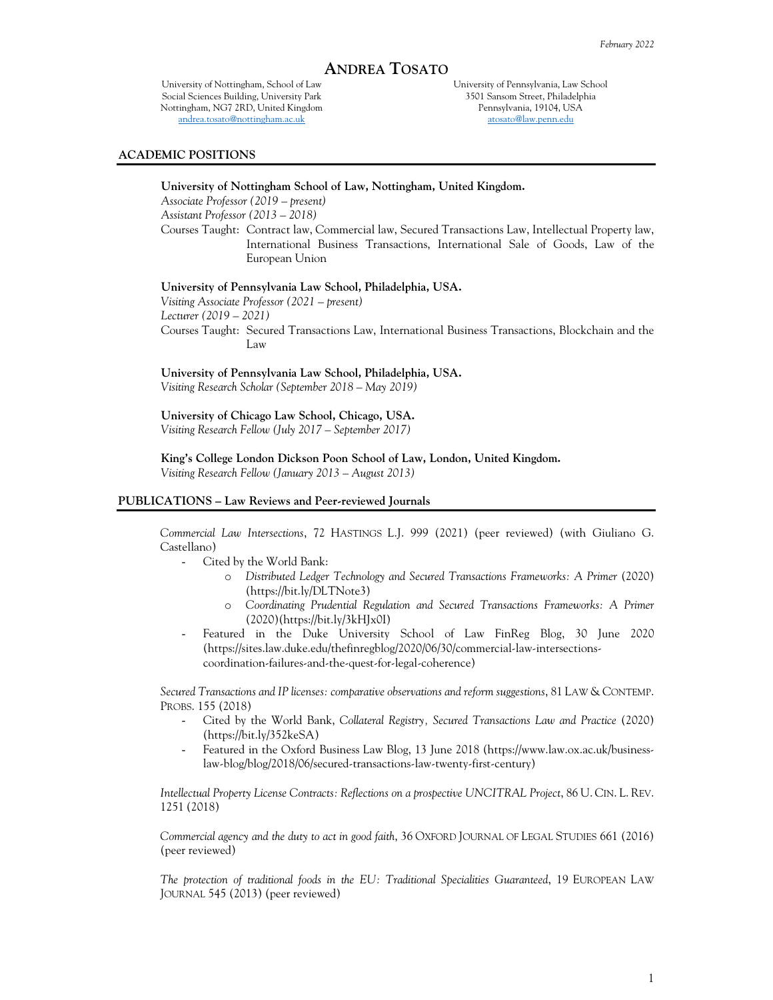# **ANDREA TOSATO**

University of Nottingham, School of Law Social Sciences Building, University Park Nottingham, NG7 2RD, United Kingdom andrea.tosato@nottingham.ac.uk

University of Pennsylvania, Law School 3501 Sansom Street, Philadelphia Pennsylvania, 19104, USA atosato@law.penn.edu

#### **ACADEMIC POSITIONS**

# **University of Nottingham School of Law, Nottingham, United Kingdom.**

*Associate Professor (2019 – present)* 

*Assistant Professor (2013 – 2018)* 

Courses Taught: Contract law, Commercial law, Secured Transactions Law, Intellectual Property law, International Business Transactions, International Sale of Goods, Law of the European Union

## **University of Pennsylvania Law School, Philadelphia, USA.**

*Visiting Associate Professor (2021 – present) Lecturer (2019 – 2021)*  Courses Taught: Secured Transactions Law, International Business Transactions, Blockchain and the Law

**University of Pennsylvania Law School, Philadelphia, USA.**  *Visiting Research Scholar (September 2018 – May 2019)* 

**University of Chicago Law School, Chicago, USA.**  *Visiting Research Fellow (July 2017 – September 2017)* 

 **King's College London Dickson Poon School of Law, London, United Kingdom.**  *Visiting Research Fellow (January 2013 – August 2013)* 

#### **PUBLICATIONS – Law Reviews and Peer-reviewed Journals**

*Commercial Law Intersections*, 72 HASTINGS L.J. 999 (2021) (peer reviewed) (with Giuliano G. Castellano)

- Cited by the World Bank:
	- o *Distributed Ledger Technology and Secured Transactions Frameworks: A Primer* (2020) (https://bit.ly/DLTNote3)
	- o *Coordinating Prudential Regulation and Secured Transactions Frameworks: A Primer* (2020)(https://bit.ly/3kHJx0I)
- Featured in the Duke University School of Law FinReg Blog, 30 June 2020 (https://sites.law.duke.edu/thefinregblog/2020/06/30/commercial-law-intersectionscoordination-failures-and-the-quest-for-legal-coherence)

*Secured Transactions and IP licenses: comparative observations and reform suggestions*, 81 LAW & CONTEMP. PROBS. 155 (2018)

- Cited by the World Bank, *Collateral Registry, Secured Transactions Law and Practice* (2020) (https://bit.ly/352keSA)
- Featured in the Oxford Business Law Blog, 13 June 2018 (https://www.law.ox.ac.uk/businesslaw-blog/blog/2018/06/secured-transactions-law-twenty-first-century)

*Intellectual Property License Contracts: Reflections on a prospective UNCITRAL Project*, 86 U. CIN. L. REV. 1251 (2018)

*Commercial agency and the duty to act in good faith*, 36 OXFORD JOURNAL OF LEGAL STUDIES 661 (2016) (peer reviewed)

*The protection of traditional foods in the EU: Traditional Specialities Guaranteed*, 19 EUROPEAN LAW JOURNAL 545 (2013) (peer reviewed)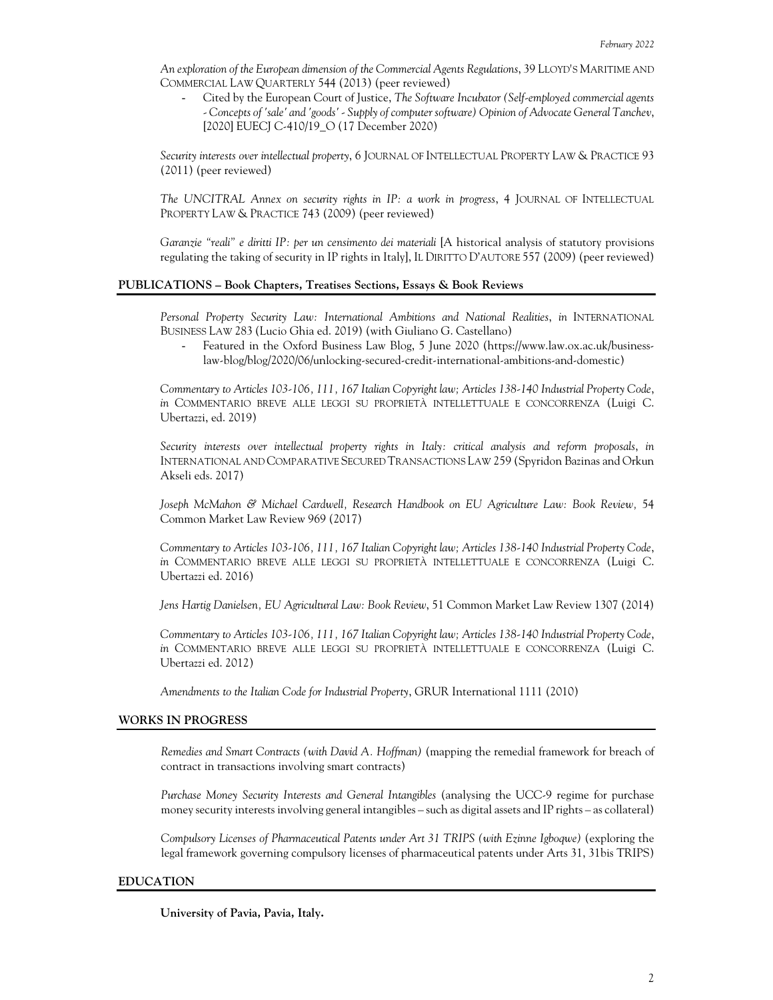*An exploration of the European dimension of the Commercial Agents Regulations*, 39 LLOYD'S MARITIME AND COMMERCIAL LAW QUARTERLY 544 (2013) (peer reviewed)

- Cited by the European Court of Justice, *The Software Incubator (Self-employed commercial agents - Concepts of 'sale' and 'goods' - Supply of computer software) Opinion of Advocate General Tanchev*, [2020] EUECJ C-410/19 O (17 December 2020)

*Security interests over intellectual property*, 6 JOURNAL OF INTELLECTUAL PROPERTY LAW & PRACTICE 93 (2011) (peer reviewed)

*The UNCITRAL Annex on security rights in IP: a work in progress*, 4 JOURNAL OF INTELLECTUAL PROPERTY LAW & PRACTICE 743 (2009) (peer reviewed)

*Garanzie "reali" e diritti IP: per un censimento dei materiali* [A historical analysis of statutory provisions regulating the taking of security in IP rights in Italy], IL DIRITTO D'AUTORE 557 (2009) (peer reviewed)

# **PUBLICATIONS – Book Chapters, Treatises Sections, Essays & Book Reviews**

*Personal Property Security Law: International Ambitions and National Realities*, *in* INTERNATIONAL BUSINESS LAW 283 (Lucio Ghia ed. 2019) (with Giuliano G. Castellano)

- Featured in the Oxford Business Law Blog, 5 June 2020 (https://www.law.ox.ac.uk/businesslaw-blog/blog/2020/06/unlocking-secured-credit-international-ambitions-and-domestic)

*Commentary to Articles 103-106, 111, 167 Italian Copyright law; Articles 138-140 Industrial Property Code*, *in* COMMENTARIO BREVE ALLE LEGGI SU PROPRIETÀ INTELLETTUALE E CONCORRENZA (Luigi C. Ubertazzi, ed. 2019)

*Security interests over intellectual property rights in Italy: critical analysis and reform proposals*, *in* INTERNATIONAL AND COMPARATIVE SECURED TRANSACTIONS LAW 259 (Spyridon Bazinas and Orkun Akseli eds. 2017)

*Joseph McMahon & Michael Cardwell, Research Handbook on EU Agriculture Law: Book Review,* 54 Common Market Law Review 969 (2017)

*Commentary to Articles 103-106, 111, 167 Italian Copyright law; Articles 138-140 Industrial Property Code*, *in* COMMENTARIO BREVE ALLE LEGGI SU PROPRIETÀ INTELLETTUALE E CONCORRENZA (Luigi C. Ubertazzi ed. 2016)

*Jens Hartig Danielsen, EU Agricultural Law: Book Review*, 51 Common Market Law Review 1307 (2014)

*Commentary to Articles 103-106, 111, 167 Italian Copyright law; Articles 138-140 Industrial Property Code*, *in* COMMENTARIO BREVE ALLE LEGGI SU PROPRIETÀ INTELLETTUALE E CONCORRENZA (Luigi C. Ubertazzi ed. 2012)

*Amendments to the Italian Code for Industrial Property*, GRUR International 1111 (2010)

# **WORKS IN PROGRESS**

*Remedies and Smart Contracts (with David A. Hoffman)* (mapping the remedial framework for breach of contract in transactions involving smart contracts)

*Purchase Money Security Interests and General Intangibles* (analysing the UCC-9 regime for purchase money security interests involving general intangibles – such as digital assets and IP rights – as collateral)

*Compulsory Licenses of Pharmaceutical Patents under Art 31 TRIPS (with Ezinne Igboqwe)* (exploring the legal framework governing compulsory licenses of pharmaceutical patents under Arts 31, 31bis TRIPS)

#### **EDUCATION**

**University of Pavia, Pavia, Italy.**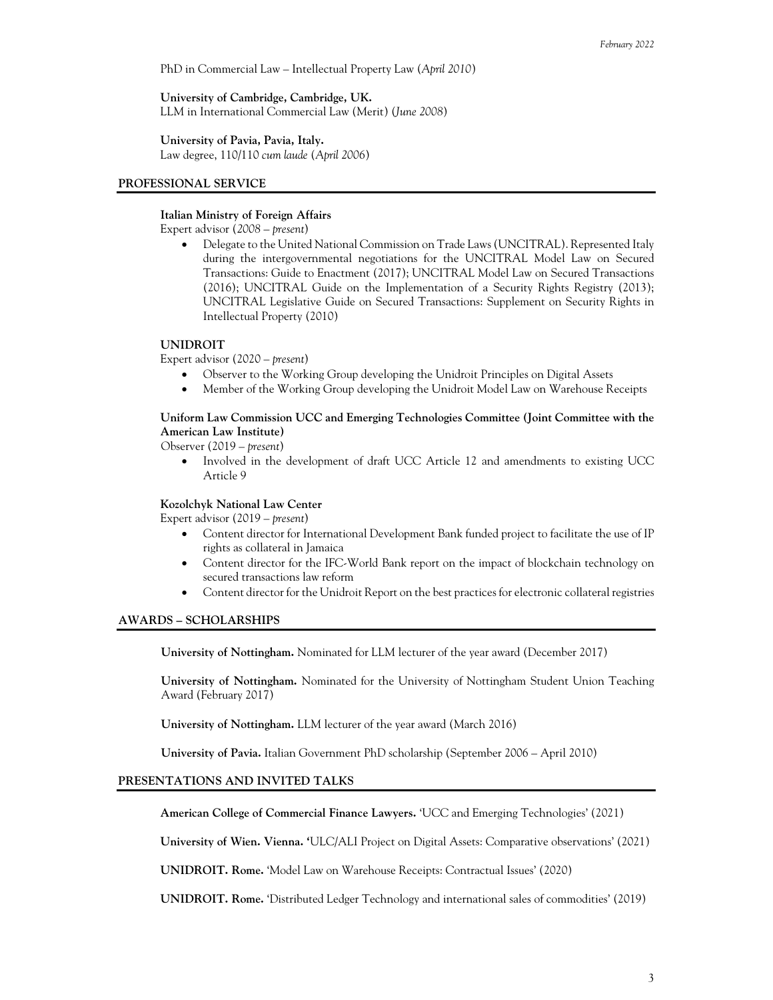PhD in Commercial Law – Intellectual Property Law (*April 2010*)

**University of Cambridge, Cambridge, UK.** LLM in International Commercial Law (Merit) (*June 2008*)

**University of Pavia, Pavia, Italy.**

Law degree, 110/110 *cum laude* (*April 2006*)

## **PROFESSIONAL SERVICE**

## **Italian Ministry of Foreign Affairs**

Expert advisor (*2008 – present*)

 Delegate to the United National Commission on Trade Laws (UNCITRAL). Represented Italy during the intergovernmental negotiations for the UNCITRAL Model Law on Secured Transactions: Guide to Enactment (2017); UNCITRAL Model Law on Secured Transactions (2016); UNCITRAL Guide on the Implementation of a Security Rights Registry (2013); UNCITRAL Legislative Guide on Secured Transactions: Supplement on Security Rights in Intellectual Property (2010)

# **UNIDROIT**

Expert advisor (2020 – *present*)

- Observer to the Working Group developing the Unidroit Principles on Digital Assets
- Member of the Working Group developing the Unidroit Model Law on Warehouse Receipts

**Uniform Law Commission UCC and Emerging Technologies Committee (Joint Committee with the American Law Institute)** 

Observer (2019 – *present*)

 Involved in the development of draft UCC Article 12 and amendments to existing UCC Article 9

#### **Kozolchyk National Law Center**

Expert advisor (2019 – *present*)

- Content director for International Development Bank funded project to facilitate the use of IP rights as collateral in Jamaica
- Content director for the IFC-World Bank report on the impact of blockchain technology on secured transactions law reform
- Content director for the Unidroit Report on the best practices for electronic collateral registries

#### **AWARDS – SCHOLARSHIPS**

**University of Nottingham.** Nominated for LLM lecturer of the year award (December 2017)

**University of Nottingham.** Nominated for the University of Nottingham Student Union Teaching Award (February 2017)

 **University of Nottingham.** LLM lecturer of the year award (March 2016)

**University of Pavia.** Italian Government PhD scholarship (September 2006 *–* April 2010)

# **PRESENTATIONS AND INVITED TALKS**

**American College of Commercial Finance Lawyers.** 'UCC and Emerging Technologies' (2021)

**University of Wien. Vienna. '**ULC/ALI Project on Digital Assets: Comparative observations' (2021)

**UNIDROIT. Rome.** 'Model Law on Warehouse Receipts: Contractual Issues' (2020)

**UNIDROIT. Rome.** 'Distributed Ledger Technology and international sales of commodities' (2019)